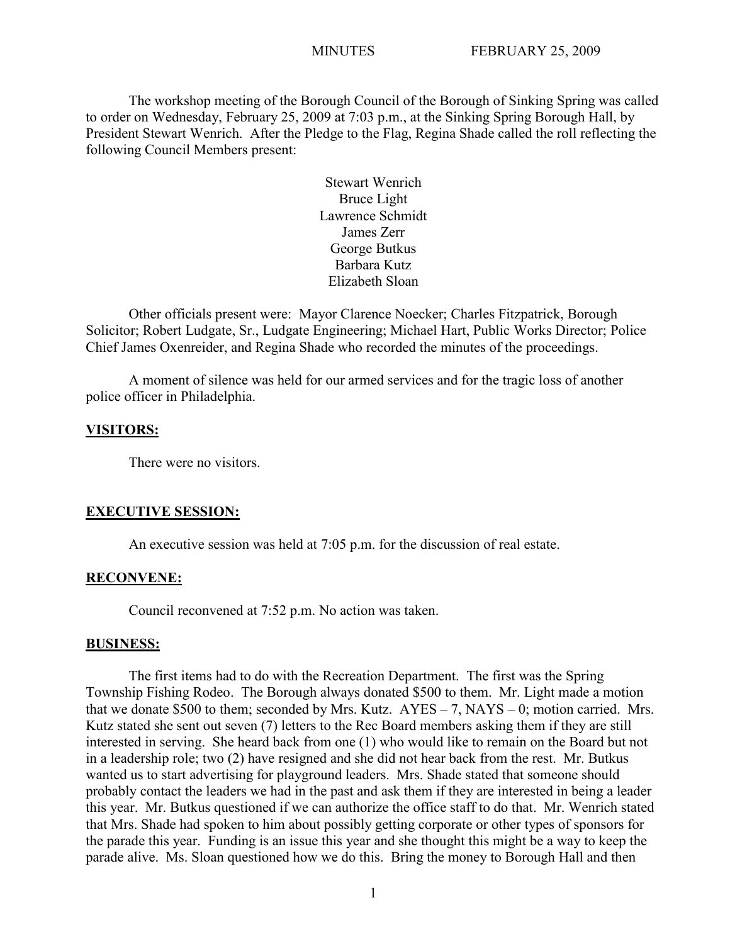The workshop meeting of the Borough Council of the Borough of Sinking Spring was called to order on Wednesday, February 25, 2009 at 7:03 p.m., at the Sinking Spring Borough Hall, by President Stewart Wenrich. After the Pledge to the Flag, Regina Shade called the roll reflecting the following Council Members present:

> Stewart Wenrich Bruce Light Lawrence Schmidt James Zerr George Butkus Barbara Kutz Elizabeth Sloan

Other officials present were: Mayor Clarence Noecker; Charles Fitzpatrick, Borough Solicitor; Robert Ludgate, Sr., Ludgate Engineering; Michael Hart, Public Works Director; Police Chief James Oxenreider, and Regina Shade who recorded the minutes of the proceedings.

A moment of silence was held for our armed services and for the tragic loss of another police officer in Philadelphia.

#### **VISITORS:**

There were no visitors.

# **EXECUTIVE SESSION:**

An executive session was held at 7:05 p.m. for the discussion of real estate.

## **RECONVENE:**

Council reconvened at 7:52 p.m. No action was taken.

#### **BUSINESS:**

The first items had to do with the Recreation Department. The first was the Spring Township Fishing Rodeo. The Borough always donated \$500 to them. Mr. Light made a motion that we donate \$500 to them; seconded by Mrs. Kutz.  $AYES - 7$ ,  $NAYS - 0$ ; motion carried. Mrs. Kutz stated she sent out seven (7) letters to the Rec Board members asking them if they are still interested in serving. She heard back from one (1) who would like to remain on the Board but not in a leadership role; two (2) have resigned and she did not hear back from the rest. Mr. Butkus wanted us to start advertising for playground leaders. Mrs. Shade stated that someone should probably contact the leaders we had in the past and ask them if they are interested in being a leader this year. Mr. Butkus questioned if we can authorize the office staff to do that. Mr. Wenrich stated that Mrs. Shade had spoken to him about possibly getting corporate or other types of sponsors for the parade this year. Funding is an issue this year and she thought this might be a way to keep the parade alive. Ms. Sloan questioned how we do this. Bring the money to Borough Hall and then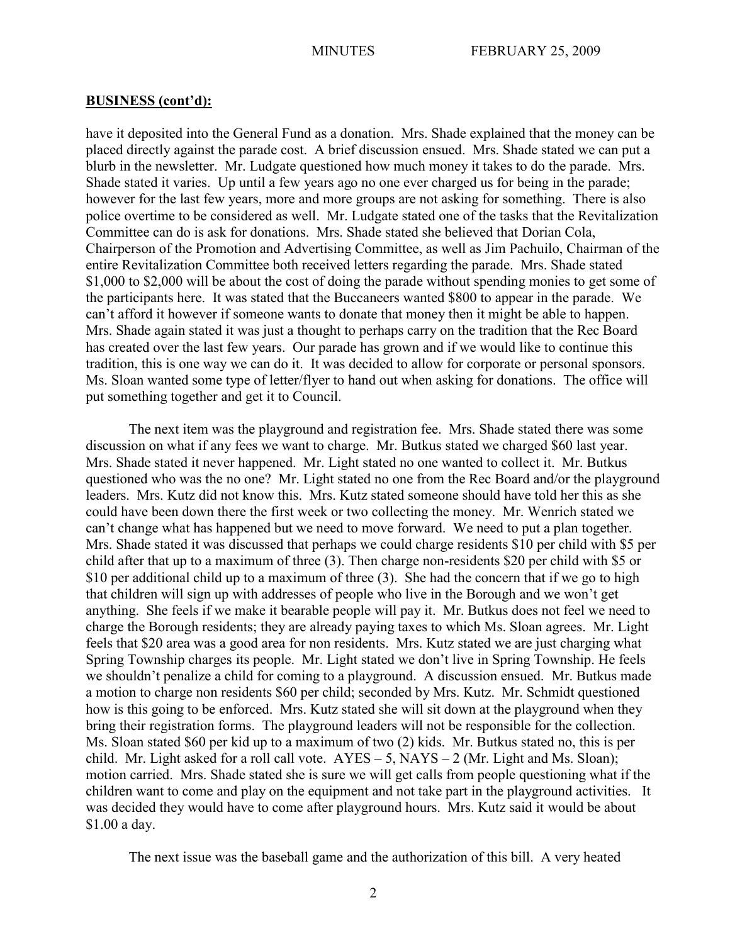have it deposited into the General Fund as a donation. Mrs. Shade explained that the money can be placed directly against the parade cost. A brief discussion ensued. Mrs. Shade stated we can put a blurb in the newsletter. Mr. Ludgate questioned how much money it takes to do the parade. Mrs. Shade stated it varies. Up until a few years ago no one ever charged us for being in the parade; however for the last few years, more and more groups are not asking for something. There is also police overtime to be considered as well. Mr. Ludgate stated one of the tasks that the Revitalization Committee can do is ask for donations. Mrs. Shade stated she believed that Dorian Cola, Chairperson of the Promotion and Advertising Committee, as well as Jim Pachuilo, Chairman of the entire Revitalization Committee both received letters regarding the parade. Mrs. Shade stated \$1,000 to \$2,000 will be about the cost of doing the parade without spending monies to get some of the participants here. It was stated that the Buccaneers wanted \$800 to appear in the parade. We can't afford it however if someone wants to donate that money then it might be able to happen. Mrs. Shade again stated it was just a thought to perhaps carry on the tradition that the Rec Board has created over the last few years. Our parade has grown and if we would like to continue this tradition, this is one way we can do it. It was decided to allow for corporate or personal sponsors. Ms. Sloan wanted some type of letter/flyer to hand out when asking for donations. The office will put something together and get it to Council.

The next item was the playground and registration fee. Mrs. Shade stated there was some discussion on what if any fees we want to charge. Mr. Butkus stated we charged \$60 last year. Mrs. Shade stated it never happened. Mr. Light stated no one wanted to collect it. Mr. Butkus questioned who was the no one? Mr. Light stated no one from the Rec Board and/or the playground leaders. Mrs. Kutz did not know this. Mrs. Kutz stated someone should have told her this as she could have been down there the first week or two collecting the money. Mr. Wenrich stated we can't change what has happened but we need to move forward. We need to put a plan together. Mrs. Shade stated it was discussed that perhaps we could charge residents \$10 per child with \$5 per child after that up to a maximum of three (3). Then charge non-residents \$20 per child with \$5 or \$10 per additional child up to a maximum of three (3). She had the concern that if we go to high that children will sign up with addresses of people who live in the Borough and we won't get anything. She feels if we make it bearable people will pay it. Mr. Butkus does not feel we need to charge the Borough residents; they are already paying taxes to which Ms. Sloan agrees. Mr. Light feels that \$20 area was a good area for non residents. Mrs. Kutz stated we are just charging what Spring Township charges its people. Mr. Light stated we don't live in Spring Township. He feels we shouldn't penalize a child for coming to a playground. A discussion ensued. Mr. Butkus made a motion to charge non residents \$60 per child; seconded by Mrs. Kutz. Mr. Schmidt questioned how is this going to be enforced. Mrs. Kutz stated she will sit down at the playground when they bring their registration forms. The playground leaders will not be responsible for the collection. Ms. Sloan stated \$60 per kid up to a maximum of two (2) kids. Mr. Butkus stated no, this is per child. Mr. Light asked for a roll call vote.  $AYES - 5$ ,  $NAYS - 2$  (Mr. Light and Ms. Sloan); motion carried. Mrs. Shade stated she is sure we will get calls from people questioning what if the children want to come and play on the equipment and not take part in the playground activities. It was decided they would have to come after playground hours. Mrs. Kutz said it would be about \$1.00 a day.

The next issue was the baseball game and the authorization of this bill. A very heated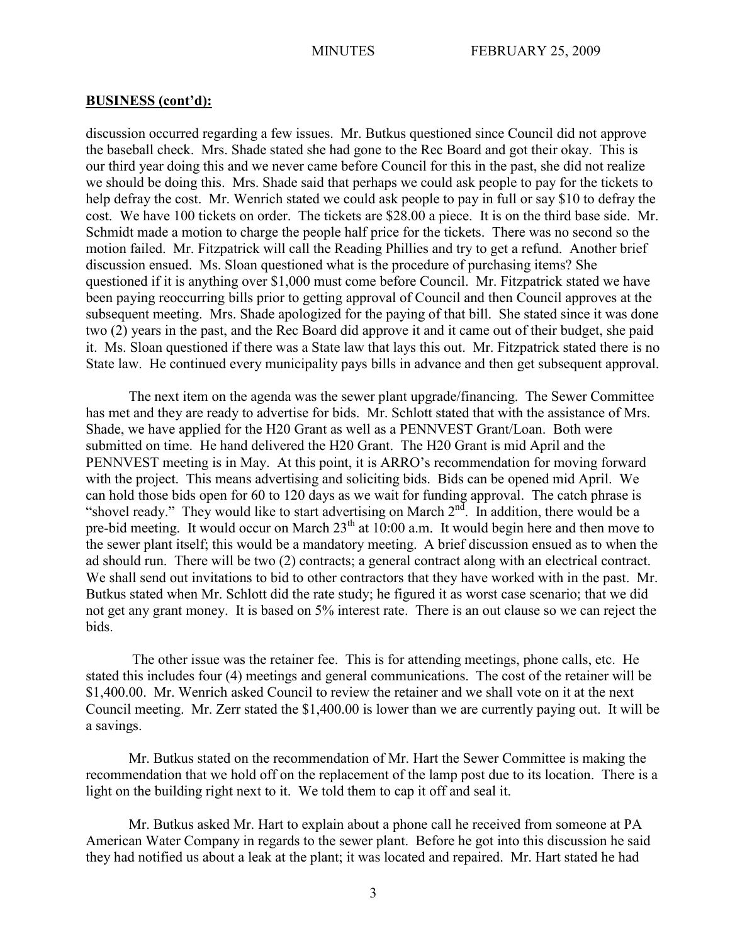discussion occurred regarding a few issues. Mr. Butkus questioned since Council did not approve the baseball check. Mrs. Shade stated she had gone to the Rec Board and got their okay. This is our third year doing this and we never came before Council for this in the past, she did not realize we should be doing this. Mrs. Shade said that perhaps we could ask people to pay for the tickets to help defray the cost. Mr. Wenrich stated we could ask people to pay in full or say \$10 to defray the cost. We have 100 tickets on order. The tickets are \$28.00 a piece. It is on the third base side. Mr. Schmidt made a motion to charge the people half price for the tickets. There was no second so the motion failed. Mr. Fitzpatrick will call the Reading Phillies and try to get a refund. Another brief discussion ensued. Ms. Sloan questioned what is the procedure of purchasing items? She questioned if it is anything over \$1,000 must come before Council. Mr. Fitzpatrick stated we have been paying reoccurring bills prior to getting approval of Council and then Council approves at the subsequent meeting. Mrs. Shade apologized for the paying of that bill. She stated since it was done two (2) years in the past, and the Rec Board did approve it and it came out of their budget, she paid it. Ms. Sloan questioned if there was a State law that lays this out. Mr. Fitzpatrick stated there is no State law. He continued every municipality pays bills in advance and then get subsequent approval.

The next item on the agenda was the sewer plant upgrade/financing. The Sewer Committee has met and they are ready to advertise for bids. Mr. Schlott stated that with the assistance of Mrs. Shade, we have applied for the H20 Grant as well as a PENNVEST Grant/Loan. Both were submitted on time. He hand delivered the H20 Grant. The H20 Grant is mid April and the PENNVEST meeting is in May. At this point, it is ARRO's recommendation for moving forward with the project. This means advertising and soliciting bids. Bids can be opened mid April. We can hold those bids open for 60 to 120 days as we wait for funding approval. The catch phrase is "shovel ready." They would like to start advertising on March  $2<sup>nd</sup>$ . In addition, there would be a pre-bid meeting. It would occur on March 23<sup>th</sup> at 10:00 a.m. It would begin here and then move to the sewer plant itself; this would be a mandatory meeting. A brief discussion ensued as to when the ad should run. There will be two (2) contracts; a general contract along with an electrical contract. We shall send out invitations to bid to other contractors that they have worked with in the past. Mr. Butkus stated when Mr. Schlott did the rate study; he figured it as worst case scenario; that we did not get any grant money. It is based on 5% interest rate. There is an out clause so we can reject the bids.

The other issue was the retainer fee. This is for attending meetings, phone calls, etc. He stated this includes four (4) meetings and general communications. The cost of the retainer will be \$1,400.00. Mr. Wenrich asked Council to review the retainer and we shall vote on it at the next Council meeting. Mr. Zerr stated the \$1,400.00 is lower than we are currently paying out. It will be a savings.

Mr. Butkus stated on the recommendation of Mr. Hart the Sewer Committee is making the recommendation that we hold off on the replacement of the lamp post due to its location. There is a light on the building right next to it. We told them to cap it off and seal it.

Mr. Butkus asked Mr. Hart to explain about a phone call he received from someone at PA American Water Company in regards to the sewer plant. Before he got into this discussion he said they had notified us about a leak at the plant; it was located and repaired. Mr. Hart stated he had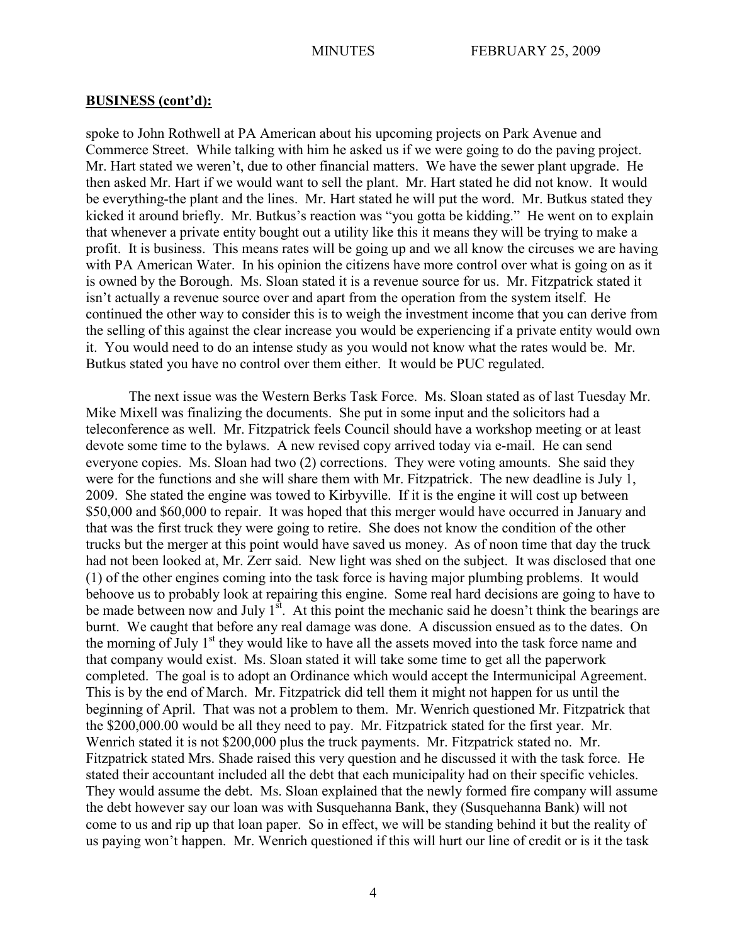spoke to John Rothwell at PA American about his upcoming projects on Park Avenue and Commerce Street. While talking with him he asked us if we were going to do the paving project. Mr. Hart stated we weren't, due to other financial matters. We have the sewer plant upgrade. He then asked Mr. Hart if we would want to sell the plant. Mr. Hart stated he did not know. It would be everything-the plant and the lines. Mr. Hart stated he will put the word. Mr. Butkus stated they kicked it around briefly. Mr. Butkus's reaction was "you gotta be kidding." He went on to explain that whenever a private entity bought out a utility like this it means they will be trying to make a profit. It is business. This means rates will be going up and we all know the circuses we are having with PA American Water. In his opinion the citizens have more control over what is going on as it is owned by the Borough. Ms. Sloan stated it is a revenue source for us. Mr. Fitzpatrick stated it isn't actually a revenue source over and apart from the operation from the system itself. He continued the other way to consider this is to weigh the investment income that you can derive from the selling of this against the clear increase you would be experiencing if a private entity would own it. You would need to do an intense study as you would not know what the rates would be. Mr. Butkus stated you have no control over them either. It would be PUC regulated.

The next issue was the Western Berks Task Force. Ms. Sloan stated as of last Tuesday Mr. Mike Mixell was finalizing the documents. She put in some input and the solicitors had a teleconference as well. Mr. Fitzpatrick feels Council should have a workshop meeting or at least devote some time to the bylaws. A new revised copy arrived today via e-mail. He can send everyone copies. Ms. Sloan had two (2) corrections. They were voting amounts. She said they were for the functions and she will share them with Mr. Fitzpatrick. The new deadline is July 1, 2009. She stated the engine was towed to Kirbyville. If it is the engine it will cost up between \$50,000 and \$60,000 to repair. It was hoped that this merger would have occurred in January and that was the first truck they were going to retire. She does not know the condition of the other trucks but the merger at this point would have saved us money. As of noon time that day the truck had not been looked at, Mr. Zerr said. New light was shed on the subject. It was disclosed that one (1) of the other engines coming into the task force is having major plumbing problems. It would behoove us to probably look at repairing this engine. Some real hard decisions are going to have to be made between now and July  $1^{st}$ . At this point the mechanic said he doesn't think the bearings are burnt. We caught that before any real damage was done. A discussion ensued as to the dates. On the morning of July  $1<sup>st</sup>$  they would like to have all the assets moved into the task force name and that company would exist. Ms. Sloan stated it will take some time to get all the paperwork completed. The goal is to adopt an Ordinance which would accept the Intermunicipal Agreement. This is by the end of March. Mr. Fitzpatrick did tell them it might not happen for us until the beginning of April. That was not a problem to them. Mr. Wenrich questioned Mr. Fitzpatrick that the \$200,000.00 would be all they need to pay. Mr. Fitzpatrick stated for the first year. Mr. Wenrich stated it is not \$200,000 plus the truck payments. Mr. Fitzpatrick stated no. Mr. Fitzpatrick stated Mrs. Shade raised this very question and he discussed it with the task force. He stated their accountant included all the debt that each municipality had on their specific vehicles. They would assume the debt. Ms. Sloan explained that the newly formed fire company will assume the debt however say our loan was with Susquehanna Bank, they (Susquehanna Bank) will not come to us and rip up that loan paper. So in effect, we will be standing behind it but the reality of us paying won't happen. Mr. Wenrich questioned if this will hurt our line of credit or is it the task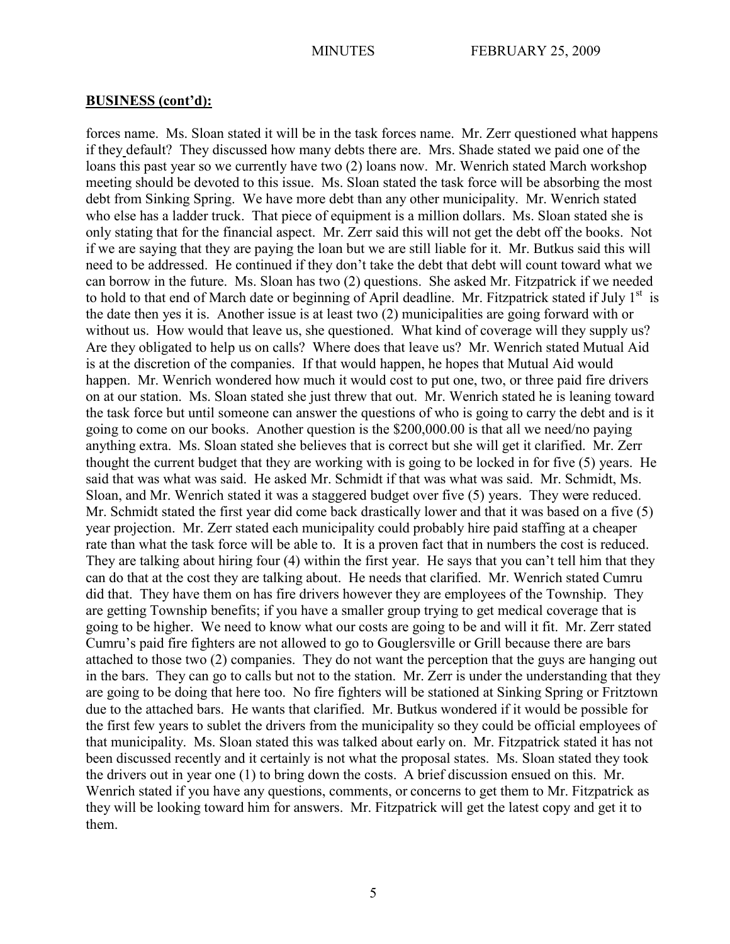forces name. Ms. Sloan stated it will be in the task forces name. Mr. Zerr questioned what happens if they default? They discussed how many debts there are. Mrs. Shade stated we paid one of the loans this past year so we currently have two (2) loans now. Mr. Wenrich stated March workshop meeting should be devoted to this issue. Ms. Sloan stated the task force will be absorbing the most debt from Sinking Spring. We have more debt than any other municipality. Mr. Wenrich stated who else has a ladder truck. That piece of equipment is a million dollars. Ms. Sloan stated she is only stating that for the financial aspect. Mr. Zerr said this will not get the debt off the books. Not if we are saying that they are paying the loan but we are still liable for it. Mr. Butkus said this will need to be addressed. He continued if they don't take the debt that debt will count toward what we can borrow in the future. Ms. Sloan has two (2) questions. She asked Mr. Fitzpatrick if we needed to hold to that end of March date or beginning of April deadline. Mr. Fitzpatrick stated if July  $1<sup>st</sup>$  is the date then yes it is. Another issue is at least two (2) municipalities are going forward with or without us. How would that leave us, she questioned. What kind of coverage will they supply us? Are they obligated to help us on calls? Where does that leave us? Mr. Wenrich stated Mutual Aid is at the discretion of the companies. If that would happen, he hopes that Mutual Aid would happen. Mr. Wenrich wondered how much it would cost to put one, two, or three paid fire drivers on at our station. Ms. Sloan stated she just threw that out. Mr. Wenrich stated he is leaning toward the task force but until someone can answer the questions of who is going to carry the debt and is it going to come on our books. Another question is the \$200,000.00 is that all we need/no paying anything extra. Ms. Sloan stated she believes that is correct but she will get it clarified. Mr. Zerr thought the current budget that they are working with is going to be locked in for five (5) years. He said that was what was said. He asked Mr. Schmidt if that was what was said. Mr. Schmidt, Ms. Sloan, and Mr. Wenrich stated it was a staggered budget over five (5) years. They were reduced. Mr. Schmidt stated the first year did come back drastically lower and that it was based on a five (5) year projection. Mr. Zerr stated each municipality could probably hire paid staffing at a cheaper rate than what the task force will be able to. It is a proven fact that in numbers the cost is reduced. They are talking about hiring four (4) within the first year. He says that you can't tell him that they can do that at the cost they are talking about. He needs that clarified. Mr. Wenrich stated Cumru did that. They have them on has fire drivers however they are employees of the Township. They are getting Township benefits; if you have a smaller group trying to get medical coverage that is going to be higher. We need to know what our costs are going to be and will it fit. Mr. Zerr stated Cumru's paid fire fighters are not allowed to go to Gouglersville or Grill because there are bars attached to those two (2) companies. They do not want the perception that the guys are hanging out in the bars. They can go to calls but not to the station. Mr. Zerr is under the understanding that they are going to be doing that here too. No fire fighters will be stationed at Sinking Spring or Fritztown due to the attached bars. He wants that clarified. Mr. Butkus wondered if it would be possible for the first few years to sublet the drivers from the municipality so they could be official employees of that municipality. Ms. Sloan stated this was talked about early on. Mr. Fitzpatrick stated it has not been discussed recently and it certainly is not what the proposal states. Ms. Sloan stated they took the drivers out in year one (1) to bring down the costs. A brief discussion ensued on this. Mr. Wenrich stated if you have any questions, comments, or concerns to get them to Mr. Fitzpatrick as they will be looking toward him for answers. Mr. Fitzpatrick will get the latest copy and get it to them.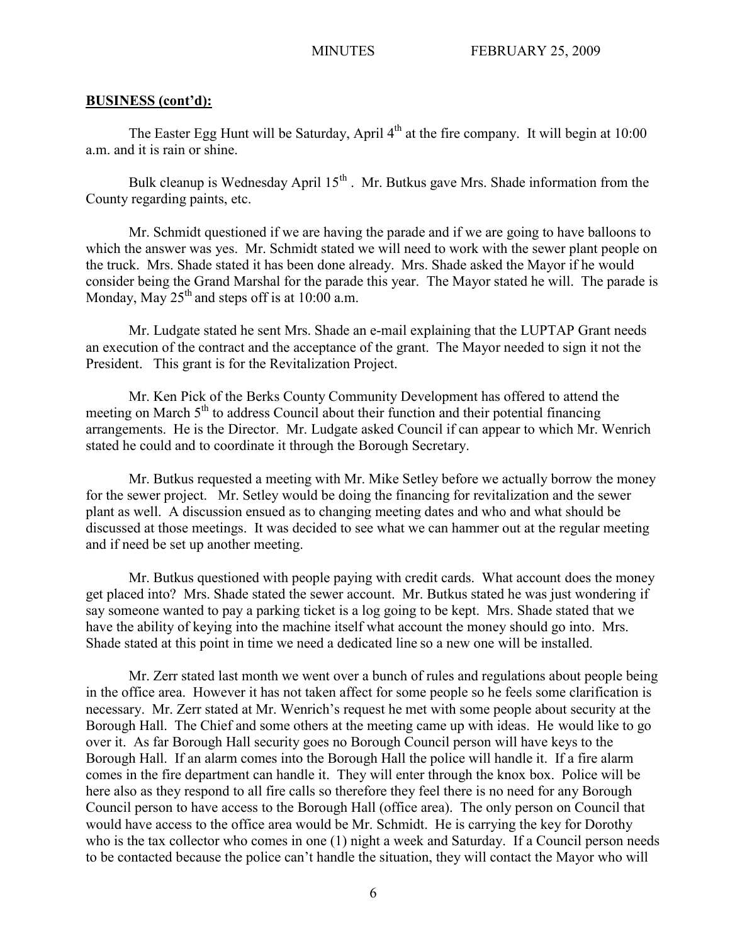The Easter Egg Hunt will be Saturday, April  $4<sup>th</sup>$  at the fire company. It will begin at 10:00 a.m. and it is rain or shine.

Bulk cleanup is Wednesday April  $15<sup>th</sup>$ . Mr. Butkus gave Mrs. Shade information from the County regarding paints, etc.

Mr. Schmidt questioned if we are having the parade and if we are going to have balloons to which the answer was yes. Mr. Schmidt stated we will need to work with the sewer plant people on the truck. Mrs. Shade stated it has been done already. Mrs. Shade asked the Mayor if he would consider being the Grand Marshal for the parade this year. The Mayor stated he will. The parade is Monday, May  $25<sup>th</sup>$  and steps off is at 10:00 a.m.

Mr. Ludgate stated he sent Mrs. Shade an e-mail explaining that the LUPTAP Grant needs an execution of the contract and the acceptance of the grant. The Mayor needed to sign it not the President. This grant is for the Revitalization Project.

Mr. Ken Pick of the Berks County Community Development has offered to attend the meeting on March 5<sup>th</sup> to address Council about their function and their potential financing arrangements. He is the Director. Mr. Ludgate asked Council if can appear to which Mr. Wenrich stated he could and to coordinate it through the Borough Secretary.

Mr. Butkus requested a meeting with Mr. Mike Setley before we actually borrow the money for the sewer project. Mr. Setley would be doing the financing for revitalization and the sewer plant as well. A discussion ensued as to changing meeting dates and who and what should be discussed at those meetings. It was decided to see what we can hammer out at the regular meeting and if need be set up another meeting.

Mr. Butkus questioned with people paying with credit cards. What account does the money get placed into? Mrs. Shade stated the sewer account. Mr. Butkus stated he was just wondering if say someone wanted to pay a parking ticket is a log going to be kept. Mrs. Shade stated that we have the ability of keying into the machine itself what account the money should go into. Mrs. Shade stated at this point in time we need a dedicated line so a new one will be installed.

Mr. Zerr stated last month we went over a bunch of rules and regulations about people being in the office area. However it has not taken affect for some people so he feels some clarification is necessary. Mr. Zerr stated at Mr. Wenrich's request he met with some people about security at the Borough Hall. The Chief and some others at the meeting came up with ideas. He would like to go over it. As far Borough Hall security goes no Borough Council person will have keys to the Borough Hall. If an alarm comes into the Borough Hall the police will handle it. If a fire alarm comes in the fire department can handle it. They will enter through the knox box. Police will be here also as they respond to all fire calls so therefore they feel there is no need for any Borough Council person to have access to the Borough Hall (office area). The only person on Council that would have access to the office area would be Mr. Schmidt. He is carrying the key for Dorothy who is the tax collector who comes in one (1) night a week and Saturday. If a Council person needs to be contacted because the police can't handle the situation, they will contact the Mayor who will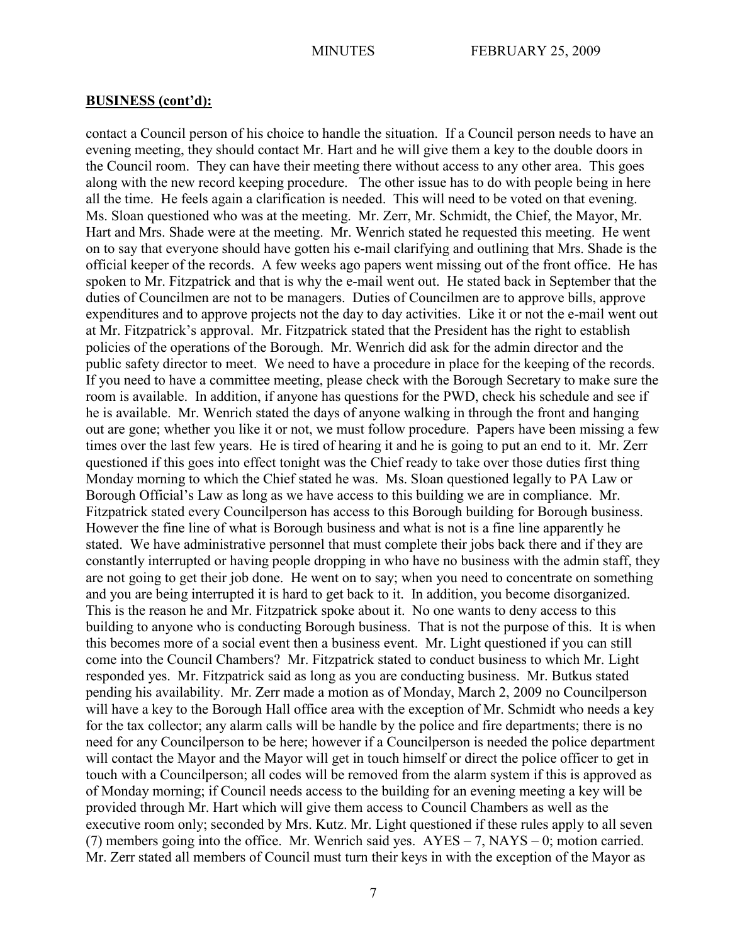contact a Council person of his choice to handle the situation. If a Council person needs to have an evening meeting, they should contact Mr. Hart and he will give them a key to the double doors in the Council room. They can have their meeting there without access to any other area. This goes along with the new record keeping procedure. The other issue has to do with people being in here all the time. He feels again a clarification is needed. This will need to be voted on that evening. Ms. Sloan questioned who was at the meeting. Mr. Zerr, Mr. Schmidt, the Chief, the Mayor, Mr. Hart and Mrs. Shade were at the meeting. Mr. Wenrich stated he requested this meeting. He went on to say that everyone should have gotten his e-mail clarifying and outlining that Mrs. Shade is the official keeper of the records. A few weeks ago papers went missing out of the front office. He has spoken to Mr. Fitzpatrick and that is why the e-mail went out. He stated back in September that the duties of Councilmen are not to be managers. Duties of Councilmen are to approve bills, approve expenditures and to approve projects not the day to day activities. Like it or not the e-mail went out at Mr. Fitzpatrick's approval. Mr. Fitzpatrick stated that the President has the right to establish policies of the operations of the Borough. Mr. Wenrich did ask for the admin director and the public safety director to meet. We need to have a procedure in place for the keeping of the records. If you need to have a committee meeting, please check with the Borough Secretary to make sure the room is available. In addition, if anyone has questions for the PWD, check his schedule and see if he is available. Mr. Wenrich stated the days of anyone walking in through the front and hanging out are gone; whether you like it or not, we must follow procedure. Papers have been missing a few times over the last few years. He is tired of hearing it and he is going to put an end to it. Mr. Zerr questioned if this goes into effect tonight was the Chief ready to take over those duties first thing Monday morning to which the Chief stated he was. Ms. Sloan questioned legally to PA Law or Borough Official's Law as long as we have access to this building we are in compliance. Mr. Fitzpatrick stated every Councilperson has access to this Borough building for Borough business. However the fine line of what is Borough business and what is not is a fine line apparently he stated. We have administrative personnel that must complete their jobs back there and if they are constantly interrupted or having people dropping in who have no business with the admin staff, they are not going to get their job done. He went on to say; when you need to concentrate on something and you are being interrupted it is hard to get back to it. In addition, you become disorganized. This is the reason he and Mr. Fitzpatrick spoke about it. No one wants to deny access to this building to anyone who is conducting Borough business. That is not the purpose of this. It is when this becomes more of a social event then a business event. Mr. Light questioned if you can still come into the Council Chambers? Mr. Fitzpatrick stated to conduct business to which Mr. Light responded yes. Mr. Fitzpatrick said as long as you are conducting business. Mr. Butkus stated pending his availability. Mr. Zerr made a motion as of Monday, March 2, 2009 no Councilperson will have a key to the Borough Hall office area with the exception of Mr. Schmidt who needs a key for the tax collector; any alarm calls will be handle by the police and fire departments; there is no need for any Councilperson to be here; however if a Councilperson is needed the police department will contact the Mayor and the Mayor will get in touch himself or direct the police officer to get in touch with a Councilperson; all codes will be removed from the alarm system if this is approved as of Monday morning; if Council needs access to the building for an evening meeting a key will be provided through Mr. Hart which will give them access to Council Chambers as well as the executive room only; seconded by Mrs. Kutz. Mr. Light questioned if these rules apply to all seven (7) members going into the office. Mr. Wenrich said yes. AYES – 7, NAYS – 0; motion carried. Mr. Zerr stated all members of Council must turn their keys in with the exception of the Mayor as